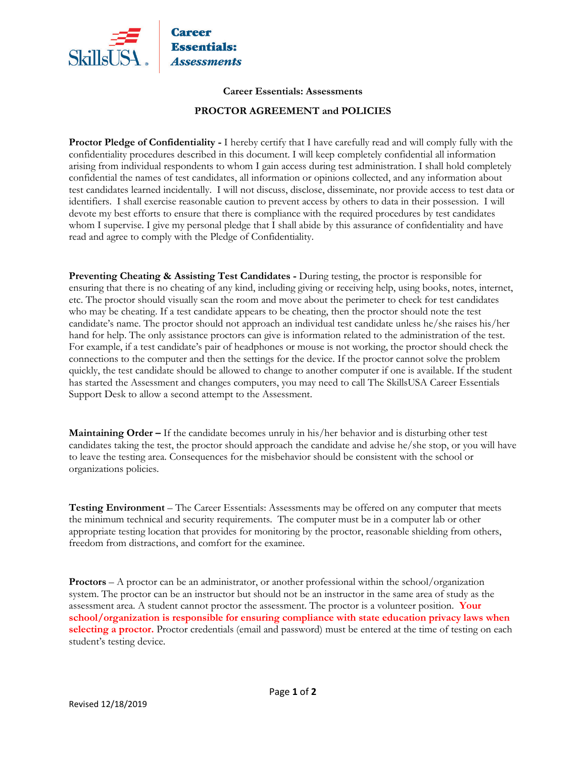

## **Career Essentials: Assessments**

## **PROCTOR AGREEMENT and POLICIES**

**Proctor Pledge of Confidentiality -** I hereby certify that I have carefully read and will comply fully with the confidentiality procedures described in this document. I will keep completely confidential all information arising from individual respondents to whom I gain access during test administration. I shall hold completely confidential the names of test candidates, all information or opinions collected, and any information about test candidates learned incidentally. I will not discuss, disclose, disseminate, nor provide access to test data or identifiers. I shall exercise reasonable caution to prevent access by others to data in their possession. I will devote my best efforts to ensure that there is compliance with the required procedures by test candidates whom I supervise. I give my personal pledge that I shall abide by this assurance of confidentiality and have read and agree to comply with the Pledge of Confidentiality.

**Preventing Cheating & Assisting Test Candidates -** During testing, the proctor is responsible for ensuring that there is no cheating of any kind, including giving or receiving help, using books, notes, internet, etc. The proctor should visually scan the room and move about the perimeter to check for test candidates who may be cheating. If a test candidate appears to be cheating, then the proctor should note the test candidate's name. The proctor should not approach an individual test candidate unless he/she raises his/her hand for help. The only assistance proctors can give is information related to the administration of the test. For example, if a test candidate's pair of headphones or mouse is not working, the proctor should check the connections to the computer and then the settings for the device. If the proctor cannot solve the problem quickly, the test candidate should be allowed to change to another computer if one is available. If the student has started the Assessment and changes computers, you may need to call The SkillsUSA Career Essentials Support Desk to allow a second attempt to the Assessment.

**Maintaining Order –** If the candidate becomes unruly in his/her behavior and is disturbing other test candidates taking the test, the proctor should approach the candidate and advise he/she stop, or you will have to leave the testing area. Consequences for the misbehavior should be consistent with the school or organizations policies.

**Testing Environment** – The Career Essentials: Assessments may be offered on any computer that meets the minimum technical and security requirements. The computer must be in a computer lab or other appropriate testing location that provides for monitoring by the proctor, reasonable shielding from others, freedom from distractions, and comfort for the examinee.

**Proctors** – A proctor can be an administrator, or another professional within the school/organization system. The proctor can be an instructor but should not be an instructor in the same area of study as the assessment area. A student cannot proctor the assessment. The proctor is a volunteer position. **Your school/organization is responsible for ensuring compliance with state education privacy laws when selecting a proctor.** Proctor credentials (email and password) must be entered at the time of testing on each student's testing device.